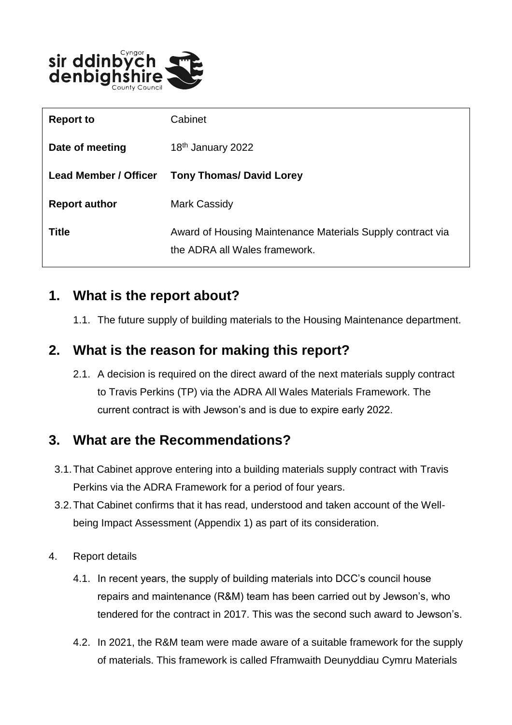

| <b>Report to</b>             | Cabinet                                                                                     |
|------------------------------|---------------------------------------------------------------------------------------------|
| Date of meeting              | 18 <sup>th</sup> January 2022                                                               |
| <b>Lead Member / Officer</b> | <b>Tony Thomas/ David Lorey</b>                                                             |
| <b>Report author</b>         | Mark Cassidy                                                                                |
| <b>Title</b>                 | Award of Housing Maintenance Materials Supply contract via<br>the ADRA all Wales framework. |

### **1. What is the report about?**

1.1. The future supply of building materials to the Housing Maintenance department.

### **2. What is the reason for making this report?**

2.1. A decision is required on the direct award of the next materials supply contract to Travis Perkins (TP) via the ADRA All Wales Materials Framework. The current contract is with Jewson's and is due to expire early 2022.

### **3. What are the Recommendations?**

- 3.1.That Cabinet approve entering into a building materials supply contract with Travis Perkins via the ADRA Framework for a period of four years.
- 3.2.That Cabinet confirms that it has read, understood and taken account of the Wellbeing Impact Assessment (Appendix 1) as part of its consideration.
- 4. Report details
	- 4.1. In recent years, the supply of building materials into DCC's council house repairs and maintenance (R&M) team has been carried out by Jewson's, who tendered for the contract in 2017. This was the second such award to Jewson's.
	- 4.2. In 2021, the R&M team were made aware of a suitable framework for the supply of materials. This framework is called Fframwaith Deunyddiau Cymru Materials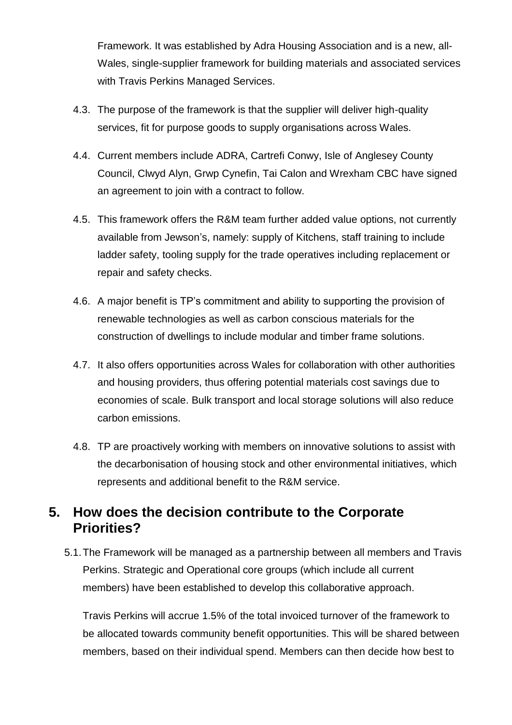Framework. It was established by Adra Housing Association and is a new, all-Wales, single-supplier framework for building materials and associated services with Travis Perkins Managed Services.

- 4.3. The purpose of the framework is that the supplier will deliver high-quality services, fit for purpose goods to supply organisations across Wales.
- 4.4. Current members include ADRA, Cartrefi Conwy, Isle of Anglesey County Council, Clwyd Alyn, Grwp Cynefin, Tai Calon and Wrexham CBC have signed an agreement to join with a contract to follow.
- 4.5. This framework offers the R&M team further added value options, not currently available from Jewson's, namely: supply of Kitchens, staff training to include ladder safety, tooling supply for the trade operatives including replacement or repair and safety checks.
- 4.6. A major benefit is TP's commitment and ability to supporting the provision of renewable technologies as well as carbon conscious materials for the construction of dwellings to include modular and timber frame solutions.
- 4.7. It also offers opportunities across Wales for collaboration with other authorities and housing providers, thus offering potential materials cost savings due to economies of scale. Bulk transport and local storage solutions will also reduce carbon emissions.
- 4.8. TP are proactively working with members on innovative solutions to assist with the decarbonisation of housing stock and other environmental initiatives, which represents and additional benefit to the R&M service.

### **5. How does the decision contribute to the Corporate Priorities?**

5.1.The Framework will be managed as a partnership between all members and Travis Perkins. Strategic and Operational core groups (which include all current members) have been established to develop this collaborative approach.

Travis Perkins will accrue 1.5% of the total invoiced turnover of the framework to be allocated towards community benefit opportunities. This will be shared between members, based on their individual spend. Members can then decide how best to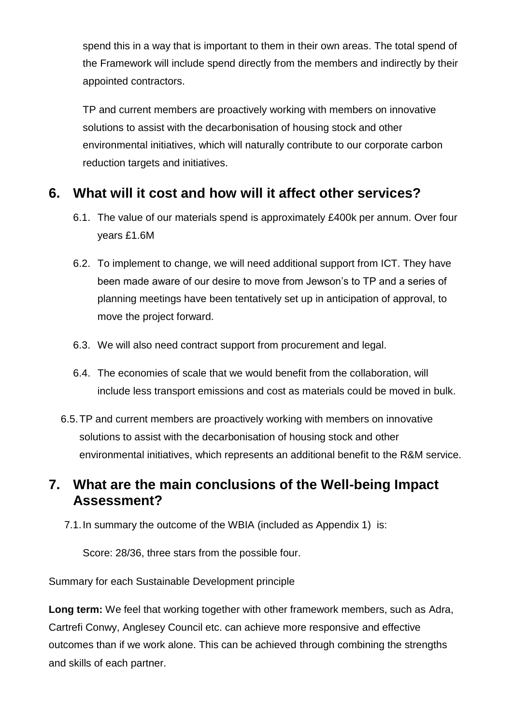spend this in a way that is important to them in their own areas. The total spend of the Framework will include spend directly from the members and indirectly by their appointed contractors.

TP and current members are proactively working with members on innovative solutions to assist with the decarbonisation of housing stock and other environmental initiatives, which will naturally contribute to our corporate carbon reduction targets and initiatives.

### **6. What will it cost and how will it affect other services?**

- 6.1. The value of our materials spend is approximately £400k per annum. Over four years £1.6M
- 6.2. To implement to change, we will need additional support from ICT. They have been made aware of our desire to move from Jewson's to TP and a series of planning meetings have been tentatively set up in anticipation of approval, to move the project forward.
- 6.3. We will also need contract support from procurement and legal.
- 6.4. The economies of scale that we would benefit from the collaboration, will include less transport emissions and cost as materials could be moved in bulk.
- 6.5.TP and current members are proactively working with members on innovative solutions to assist with the decarbonisation of housing stock and other environmental initiatives, which represents an additional benefit to the R&M service.

### **7. What are the main conclusions of the Well-being Impact Assessment?**

7.1.In summary the outcome of the WBIA (included as Appendix 1) is:

Score: 28/36, three stars from the possible four.

Summary for each Sustainable Development principle

**Long term:** We feel that working together with other framework members, such as Adra, Cartrefi Conwy, Anglesey Council etc. can achieve more responsive and effective outcomes than if we work alone. This can be achieved through combining the strengths and skills of each partner.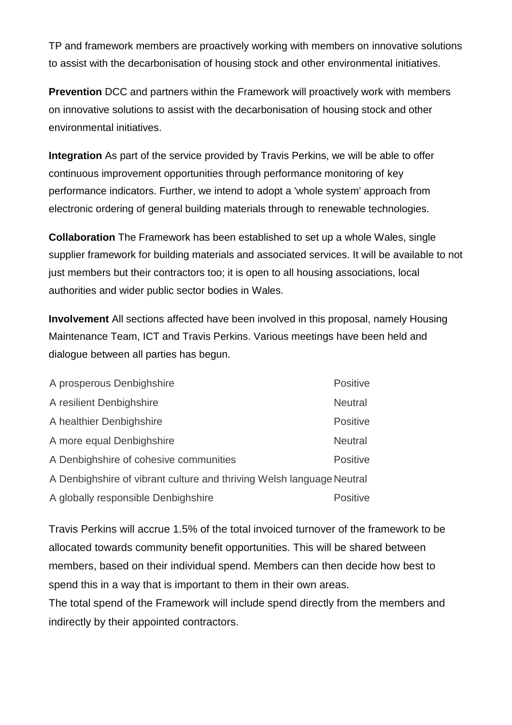TP and framework members are proactively working with members on innovative solutions to assist with the decarbonisation of housing stock and other environmental initiatives.

**Prevention** DCC and partners within the Framework will proactively work with members on innovative solutions to assist with the decarbonisation of housing stock and other environmental initiatives.

**Integration** As part of the service provided by Travis Perkins, we will be able to offer continuous improvement opportunities through performance monitoring of key performance indicators. Further, we intend to adopt a 'whole system' approach from electronic ordering of general building materials through to renewable technologies.

**Collaboration** The Framework has been established to set up a whole Wales, single supplier framework for building materials and associated services. It will be available to not just members but their contractors too; it is open to all housing associations, local authorities and wider public sector bodies in Wales.

**Involvement** All sections affected have been involved in this proposal, namely Housing Maintenance Team, ICT and Travis Perkins. Various meetings have been held and dialogue between all parties has begun.

| A prosperous Denbighshire                                             | Positive        |  |
|-----------------------------------------------------------------------|-----------------|--|
| A resilient Denbighshire                                              | <b>Neutral</b>  |  |
| A healthier Denbighshire                                              | <b>Positive</b> |  |
| A more equal Denbighshire                                             | <b>Neutral</b>  |  |
| A Denbighshire of cohesive communities                                | <b>Positive</b> |  |
| A Denbighshire of vibrant culture and thriving Welsh language Neutral |                 |  |
| A globally responsible Denbighshire                                   | <b>Positive</b> |  |

Travis Perkins will accrue 1.5% of the total invoiced turnover of the framework to be allocated towards community benefit opportunities. This will be shared between members, based on their individual spend. Members can then decide how best to spend this in a way that is important to them in their own areas.

The total spend of the Framework will include spend directly from the members and indirectly by their appointed contractors.